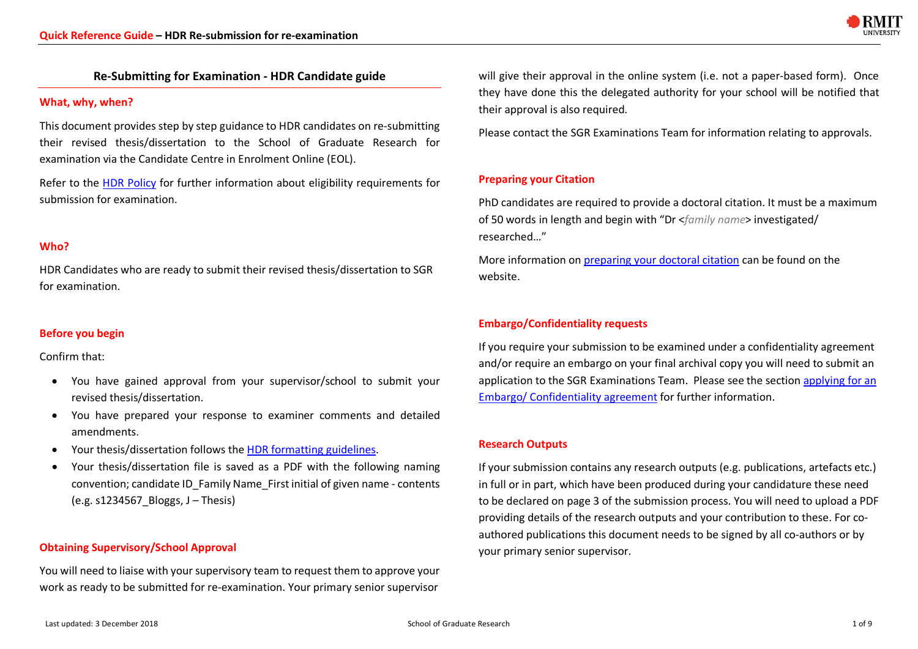

# **Re-Submitting for Examination - HDR Candidate guide**

#### **What, why, when?**

This document provides step by step guidance to HDR candidates on re-submitting their revised thesis/dissertation to the School of Graduate Research for examination via the Candidate Centre in Enrolment Online (EOL).

Refer to the HDR Policy for further information about eligibility requirements for submission for examination.

# **Who?**

HDR Candidates who are ready to submit their revised thesis/dissertation to SGR for examination.

# **Before you begin**

Confirm that:

- You have gained approval from your supervisor/school to submit your revised thesis/dissertation.
- You have prepared your response to examiner comments and detailed amendments.
- Your thesis/dissertation follows the HDR formatting guidelines.
- Your thesis/dissertation file is saved as a PDF with the following naming convention; candidate ID\_Family Name\_First initial of given name - contents  $(e.g. s1234567 \tBloggs, J - Thesis)$

# **Obtaining Supervisory/School Approval**

You will need to liaise with your supervisory team to request them to approve your work as ready to be submitted for re-examination. Your primary senior supervisor

will give their approval in the online system (i.e. not a paper-based form). Once they have done this the delegated authority for your school will be notified that their approval is also required.

Please contact the SGR Examinations Team for information relating to approvals.

## **Preparing your Citation**

PhD candidates are required to provide a doctoral citation. It must be a maximum of 50 words in length and begin with "Dr <*family name*> investigated/ researched…"

More information on preparing your doctoral citation can be found on the website.

## **Embargo/Confidentiality requests**

If you require your submission to be examined under a confidentiality agreement and/or require an embargo on your final archival copy you will need to submit an application to the SGR Examinations Team. Please see the section applying for an Embargo/ Confidentiality agreement for further information.

#### **Research Outputs**

If your submission contains any research outputs (e.g. publications, artefacts etc.) in full or in part, which have been produced during your candidature these need to be declared on page 3 of the submission process. You will need to upload a PDF providing details of the research outputs and your contribution to these. For coauthored publications this document needs to be signed by all co-authors or by your primary senior supervisor.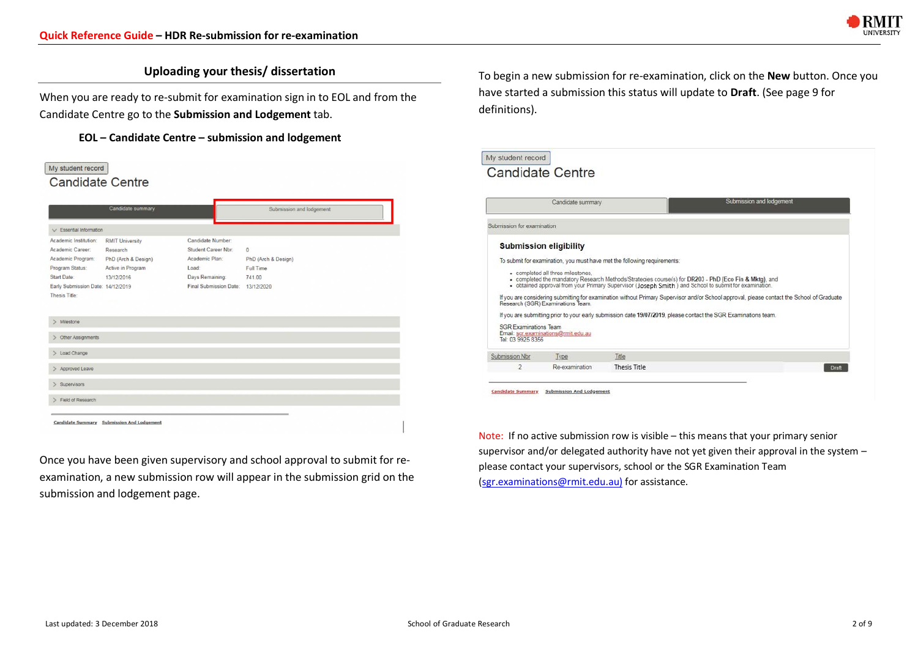

# **Uploading your thesis/ dissertation**

When you are ready to re-submit for examination sign in to EOL and from the Candidate Centre go to the **Submission and Lodgement** tab.

**EOL – Candidate Centre – submission and lodgement**



Once you have been given supervisory and school approval to submit for reexamination, a new submission row will appear in the submission grid on the submission and lodgement page.

To begin a new submission for re-examination, click on the **New** button. Once you have started a submission this status will update to **Draft**. (See page 9 for definitions).

|                              | Candidate summary                   |                                                                          | Submission and lodgement                                                                                                                   |
|------------------------------|-------------------------------------|--------------------------------------------------------------------------|--------------------------------------------------------------------------------------------------------------------------------------------|
| Submission for examination   |                                     |                                                                          |                                                                                                                                            |
|                              | <b>Submission eligibility</b>       |                                                                          |                                                                                                                                            |
|                              |                                     | To submit for examination, you must have met the following requirements: |                                                                                                                                            |
|                              |                                     |                                                                          |                                                                                                                                            |
|                              | · completed all three milestones,   |                                                                          | . completed the mandatory Research Methods/Strategies course(s) for DR203 - PhD (Eco Fin & Mktg), and                                      |
|                              |                                     |                                                                          | - obtained approval from your Primary Supervisor (Joseph Smith ) and School to submit for examination.                                     |
|                              | Research (SGR) Examinations Team.   |                                                                          | If you are considering submitting for examination without Primary Supervisor and/or School approval, please contact the School of Graduate |
|                              |                                     |                                                                          | If you are submitting prior to your early submission date 19/07/2019, please contact the SGR Examinations team.                            |
| <b>SGR Examinations Team</b> |                                     |                                                                          |                                                                                                                                            |
| Tel: 03 9925 8356            | Email: sor examinations@rmit.edu.au |                                                                          |                                                                                                                                            |
|                              |                                     |                                                                          |                                                                                                                                            |
|                              |                                     | Title                                                                    |                                                                                                                                            |
| Submission Nbr               | Type                                |                                                                          |                                                                                                                                            |

Note: If no active submission row is visible – this means that your primary senior supervisor and/or delegated authority have not yet given their approval in the system – please contact your supervisors, school or the SGR Examination Team (sgr.examinations@rmit.edu.au) for assistance.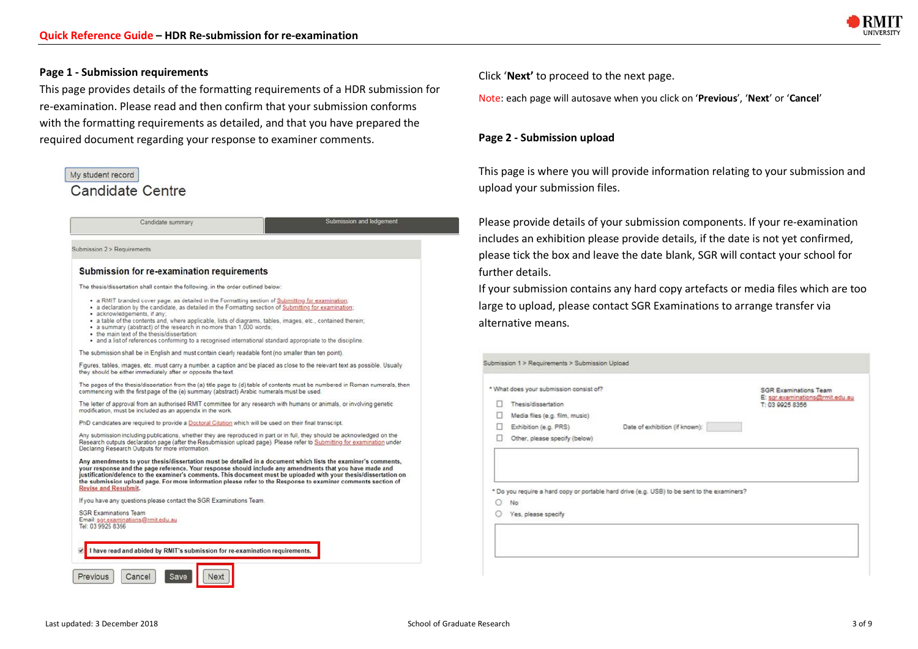

## **Page 1 - Submission requirements**

This page provides details of the formatting requirements of a HDR submission for re-examination. Please read and then confirm that your submission conforms with the formatting requirements as detailed, and that you have prepared the required document regarding your response to examiner comments.

| My student record                                                                                                                                                                                                                                                                                                                                                                                                                                                                                                                                                                                                                                                                                                                                                                                                                                                                                                                                                                                                                                                                                                                                                                                                                                                                                                                                                                       | This page is whe                                                                                                                           |
|-----------------------------------------------------------------------------------------------------------------------------------------------------------------------------------------------------------------------------------------------------------------------------------------------------------------------------------------------------------------------------------------------------------------------------------------------------------------------------------------------------------------------------------------------------------------------------------------------------------------------------------------------------------------------------------------------------------------------------------------------------------------------------------------------------------------------------------------------------------------------------------------------------------------------------------------------------------------------------------------------------------------------------------------------------------------------------------------------------------------------------------------------------------------------------------------------------------------------------------------------------------------------------------------------------------------------------------------------------------------------------------------|--------------------------------------------------------------------------------------------------------------------------------------------|
| <b>Candidate Centre</b>                                                                                                                                                                                                                                                                                                                                                                                                                                                                                                                                                                                                                                                                                                                                                                                                                                                                                                                                                                                                                                                                                                                                                                                                                                                                                                                                                                 | upload your sub                                                                                                                            |
| Submission and lodgement<br>Candidate summary<br>Submission 2 > Requirements<br>Submission for re-examination requirements<br>The thesis/dissertation shall contain the following, in the order outlined below:<br>• a RMIT branded cover page, as detailed in the Formatting section of Submitting for examination;<br>· a declaration by the candidate, as detailed in the Formatting section of Submitting for examination:<br>· acknowledgements, if any:<br>· a table of the contents and, where applicable, lists of diagrams, tables, images, etc., contained therein;<br>. a summary (abstract) of the research in no more than 1,000 words:<br>. the main text of the thesis/dissertation<br>· and a list of references conforming to a recognised international standard appropriate to the discipline.                                                                                                                                                                                                                                                                                                                                                                                                                                                                                                                                                                       | Please provide d<br>includes an exhi<br>please tick the b<br>further details.<br>If your submissio<br>large to upload,<br>alternative mear |
| The submission shall be in English and must contain clearly readable font (no smaller than ten point).<br>Figures, tables, images, etc. must carry a number, a caption and be placed as close to the relevant text as possible. Usually<br>they should be either immediately after or opposite the text.<br>The pages of the thesis/dissertation from the (a) title page to (d) table of contents must be numbered in Roman numerals, then<br>commencing with the first page of the (e) summary (abstract) Arabic numerals must be used.<br>The letter of approval from an authorised RMIT committee for any research with humans or animals, or involving genetic<br>modification, must be included as an appendix in the work.<br>PhD candidates are required to provide a Doctoral Citation which will be used on their final transcript.<br>Any submission including publications, whether they are reproduced in part or in full, they should be acknowledged on the<br>Research outputs declaration page (after the Resubmission upload page). Please refer to Submitting for examination under<br>Declaring Research Outputs for more information.<br>Any amendments to your thesis/dissertation must be detailed in a document which lists the examiner's comments,<br>your response and the page reference. Your response should include any amendments that you have made and | Submission 1 > Requireme<br>* What does your submit<br>Thesis/dissertati<br>Media files (e.g.)<br>Exhibition (e.g. F<br>Other, please sp   |
| justification/defence to the examiner's comments. This document must be uploaded with your thesis/dissertation on<br>the submission upload page. For more information please refer to the Response to examiner comments section of<br><b>Revise and Resubmit.</b><br>If you have any questions please contact the SGR Examinations Team.<br><b>SGR Examinations Team</b><br>Email: sor examinations@rmit.edu.au<br>Tel: 03 9925 8356<br>I have read and abided by RMIT's submission for re-examination requirements.                                                                                                                                                                                                                                                                                                                                                                                                                                                                                                                                                                                                                                                                                                                                                                                                                                                                    | * Do you require a hard<br>No<br>Yes, please spec                                                                                          |

Click '**Next'** to proceed to the next page.

Note: each page will autosave when you click on '**Previous**', '**Next**' or '**Cancel**'

#### **Page 2 - Submission upload**

This page is where you will provide information relating to your submission and mission files.

details of your submission components. If your re-examination ibition please provide details, if the date is not yet confirmed, pox and leave the date blank, SGR will contact your school for

on contains any hard copy artefacts or media files which are too please contact SGR Examinations to arrange transfer via ns.

| * What does your submission consist of? |                                                                                             | <b>SGR Examinations Team</b>                       |
|-----------------------------------------|---------------------------------------------------------------------------------------------|----------------------------------------------------|
| <b>Thesis/dissertation</b>              |                                                                                             | E: sgr.examinations@rmit.edu.au<br>T: 03 9925 8356 |
| Media files (e.g. film, music)          |                                                                                             |                                                    |
| Exhibition (e.g. PRS)                   | Date of exhibition (if known):                                                              |                                                    |
|                                         |                                                                                             |                                                    |
| Other, please specify (below)           |                                                                                             |                                                    |
| No                                      | * Do you require a hard copy or portable hard drive (e.g. USB) to be sent to the examiners? |                                                    |
| Yes, please specify                     |                                                                                             |                                                    |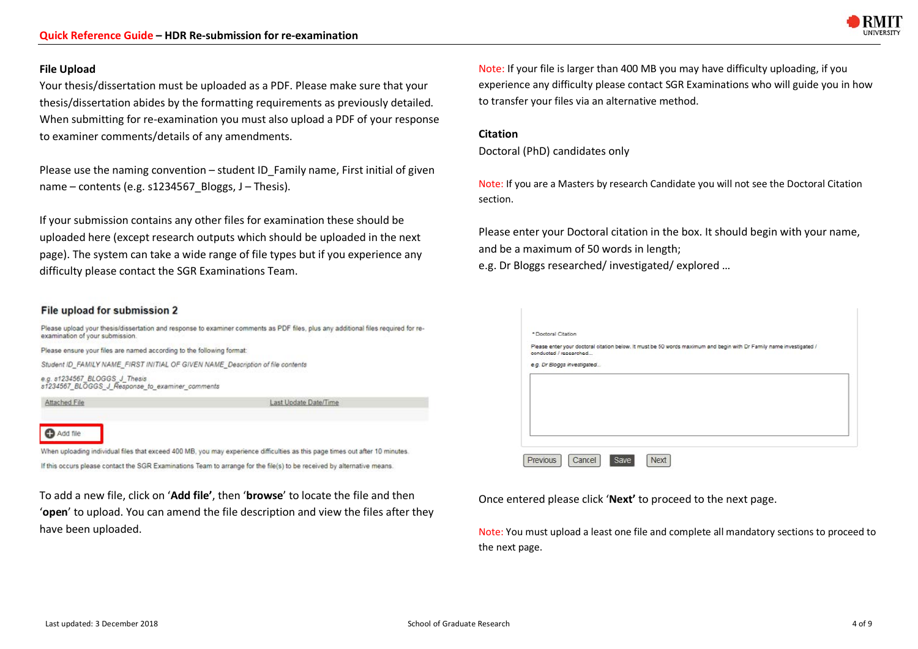

Your thesis/dissertation must be uploaded as a PDF. Please make sure that your thesis/dissertation abides by the formatting requirements as previously detailed. When submitting for re-examination you must also upload a PDF of your response to examiner comments/details of any amendments.

Please use the naming convention – student ID Family name, First initial of given name – contents (e.g. s1234567\_Bloggs, J – Thesis).

If your submission contains any other files for examination these should be uploaded here (except research outputs which should be uploaded in the next page). The system can take a wide range of file types but if you experience any difficulty please contact the SGR Examinations Team.

#### File upload for submission 2



**C** Add file

When uploading individual files that exceed 400 MB, you may experience difficulties as this page times out after 10 minutes. If this occurs please contact the SGR Examinations Team to arrange for the file(s) to be received by alternative means.

To add a new file, click on '**Add file'**, then '**browse**' to locate the file and then '**open**' to upload. You can amend the file description and view the files after they have been uploaded.

Note: If your file is larger than 400 MB you may have difficulty uploading, if you experience any difficulty please contact SGR Examinations who will guide you in how to transfer your files via an alternative method.

#### **Citation**

Doctoral (PhD) candidates only

Note: If you are a Masters by research Candidate you will not see the Doctoral Citation section.

Please enter your Doctoral citation in the box. It should begin with your name, and be a maximum of 50 words in length;

e.g. Dr Bloggs researched/ investigated/ explored …



Once entered please click '**Next'** to proceed to the next page.

Note: You must upload a least one file and complete all mandatory sections to proceed to the next page.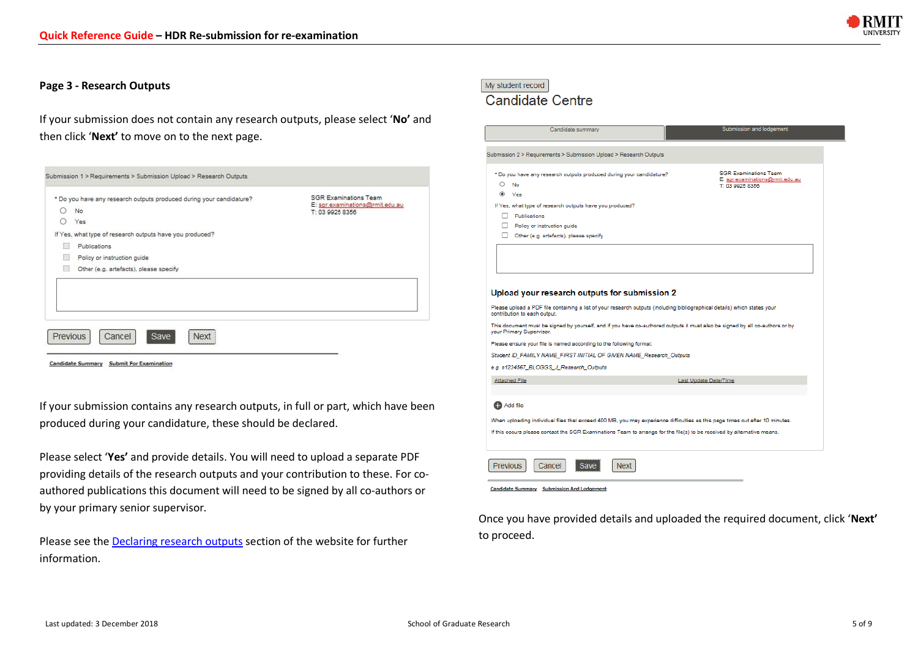

#### **Page 3 - Research Outputs**

If your submission does not contain any research outputs, please select '**No'** and then click '**Next'** to move on to the next page.

|   | * Do you have any research outputs produced during your candidature? | <b>SGR Examinations Team</b><br>E: sgr.examinations@mit.edu.au |
|---|----------------------------------------------------------------------|----------------------------------------------------------------|
| ○ | No                                                                   | T: 03 9925 8356                                                |
| ∩ | Yes                                                                  |                                                                |
|   | If Yes, what type of research outputs have you produced?             |                                                                |
|   | Publications                                                         |                                                                |
|   | Policy or instruction guide                                          |                                                                |
| u | Other (e.g. artefacts), please specify                               |                                                                |
|   |                                                                      |                                                                |
|   | <b>Previous</b><br>Cancel<br>Save<br><b>Next</b>                     |                                                                |

If your submission contains any research outputs, in full or part, which have been produced during your candidature, these should be declared.

Please select '**Yes'** and provide details. You will need to upload a separate PDF providing details of the research outputs and your contribution to these. For coauthored publications this document will need to be signed by all co-authors or by your primary senior supervisor.

Please see the Declaring research outputs section of the website for further information.

# My student record **Candidate Centre**

#### Submission and lodgement Candidate summary Submission 2 > Requirements > Submission Upload > Research Outputs **SGR Examinations Team** \* Do you have any research outputs produced during your candidature? E: sgr.examinations@mit.edu.au  $\circ$  No ⊕ Yes If Yes, what type of research outputs have you produced? Publications Policy or instruction guide Other (e.g. artefacts), please specify Upload your research outputs for submission 2 Please upload a PDF file containing a list of your research outputs (including bibliographical details) which states your contribution to each output. This document must be signed by yourself, and if you have co-authored outputs it must also be signed by all co-authors or by your Primary Supervisor. Please ensure your file is named according to the following format: Student ID\_FAMILY NAME\_FIRST INITIAL OF GIVEN NAME\_Research\_Outputs e.g. s1234567\_BLOGGS\_J\_Research\_Outputs Attached File Last Update Date/Time Add file When uploading individual files that exceed 400 MB, you may experience difficulties as this page times out after 10 minutes. If this occurs please contact the SGR Examinations Team to arrange for the file(s) to be received by alternative means Previous Cancel Next **Save Candidate Summary** Submission And Lodgement

Once you have provided details and uploaded the required document, click '**Next'** to proceed.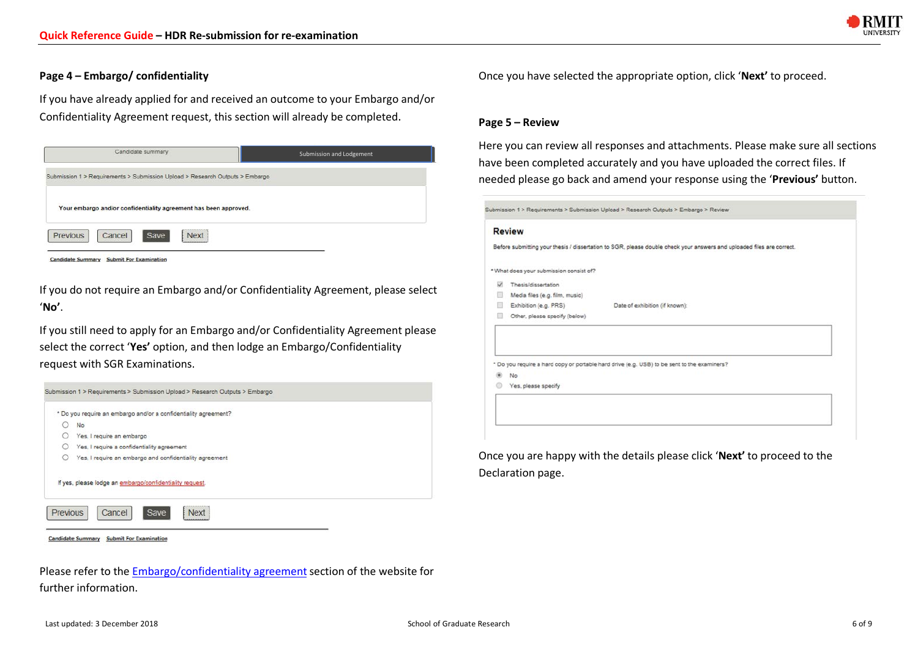

### **Page 4 – Embargo/ confidentiality**

If you have already applied for and received an outcome to your Embargo and/or Confidentiality Agreement request, this section will already be completed.



If you do not require an Embargo and/or Confidentiality Agreement, please select '**No'**.

If you still need to apply for an Embargo and/or Confidentiality Agreement please select the correct '**Yes'** option, and then lodge an Embargo/Confidentiality request with SGR Examinations.



Candidate Summary Submit For Examination

Please refer to the Embargo/confidentiality agreement section of the website for further information.

Once you have selected the appropriate option, click '**Next'** to proceed.

#### **Page 5 – Review**

Here you can review all responses and attachments. Please make sure all sections have been completed accurately and you have uploaded the correct files. If needed please go back and amend your response using the '**Previous'** button.

Submission 1 > Requirements > Submission Upload > Research Outputs > Embargo > Review

#### **Review**

Before submitting your thesis / dissertation to SGR, please double check your answers and uploaded files are correct.

\* What does your submission consist of?

- **W** Thesis/dissertation
- Media files (e.g. film, music)
- Exhibition (e.g. PRS) Date of exhibition (if known)
- Other, please specify (below)

\* Do you require a hard copy or portable hard drive (e.g. USB) to be sent to the examiners?

- ® No
- Ves, please specify

Once you are happy with the details please click '**Next'** to proceed to the Declaration page.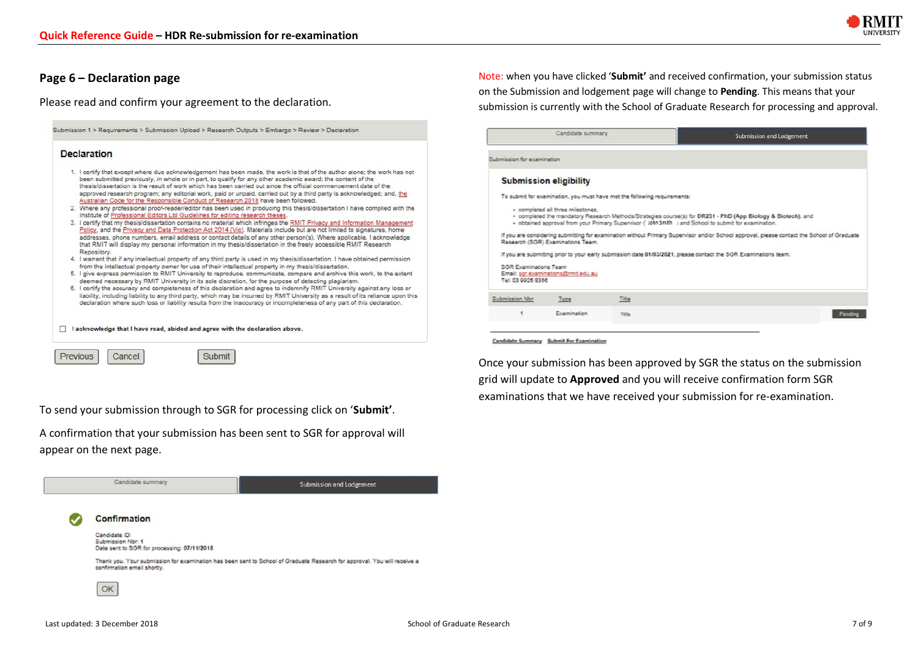

Note: when you have clicked '**Submit'** and received confirmation, your submission status on the Submission and lodgement page will change to **Pending**. This means that your submission is currently with the School of Graduate Research for processing and approval.

grid will update to **Approved** and you will receive confirmation form SGR examinations that we have received your submission for re-examination.

### **Page 6 – Declaration page**

Please read and confirm your agreement to the declaration.

| Submission 1 > Requirements > Submission Upload > Research Outouts > Embargo > Review > Declaration                                                                                                                                                                                                                                                                                                                                                                                                                                                                                                                                                                                                                                                                                                                                                                                                                                                                                                                                                                                                                                                                                                                                                                                                                                                                                                                                                                                                                                                                                                                                                                                                                                                                                                                                                                                                                |                                                   | Candidate summary                                                                                                                              |                                                                          | Submission and Lodgement                                                                                                                                                                                                                                                                                                                                                                                                                                                                |
|--------------------------------------------------------------------------------------------------------------------------------------------------------------------------------------------------------------------------------------------------------------------------------------------------------------------------------------------------------------------------------------------------------------------------------------------------------------------------------------------------------------------------------------------------------------------------------------------------------------------------------------------------------------------------------------------------------------------------------------------------------------------------------------------------------------------------------------------------------------------------------------------------------------------------------------------------------------------------------------------------------------------------------------------------------------------------------------------------------------------------------------------------------------------------------------------------------------------------------------------------------------------------------------------------------------------------------------------------------------------------------------------------------------------------------------------------------------------------------------------------------------------------------------------------------------------------------------------------------------------------------------------------------------------------------------------------------------------------------------------------------------------------------------------------------------------------------------------------------------------------------------------------------------------|---------------------------------------------------|------------------------------------------------------------------------------------------------------------------------------------------------|--------------------------------------------------------------------------|-----------------------------------------------------------------------------------------------------------------------------------------------------------------------------------------------------------------------------------------------------------------------------------------------------------------------------------------------------------------------------------------------------------------------------------------------------------------------------------------|
| <b>Declaration</b>                                                                                                                                                                                                                                                                                                                                                                                                                                                                                                                                                                                                                                                                                                                                                                                                                                                                                                                                                                                                                                                                                                                                                                                                                                                                                                                                                                                                                                                                                                                                                                                                                                                                                                                                                                                                                                                                                                 | Submission for examination                        |                                                                                                                                                |                                                                          |                                                                                                                                                                                                                                                                                                                                                                                                                                                                                         |
| 1. I certify that except where due acknowledgement has been made, the work is that of the author alone; the work has not<br>been submitted previously, in whole or in part, to qualify for any other academic award; the content of the<br>thesis/dissertation is the result of work which has been carried out since the official commencement date of the<br>approved research program; any editorial work, paid or unpaid, carried out by a third party is acknowledged; and, the<br>Australian Code for the Responsible Conduct of Research 2018 have been followed.<br>2. Where any professional proof-reader/editor has been used in producing this thesis/dissertation I have complied with the<br>Institute of Professional Editors Ltd Guidelines for editing research theses.<br>3. I certify that my thesis/dissertation contains no material which infringes the RMIT Privacy and Information Management<br>Policy, and the Privacy and Data Protection Act 2014 (Vic). Materials include but are not limited to signatures, home<br>addresses, phone numbers, email address or contact details of any other person(s). Where applicable, I acknowledge<br>that RMIT will display my personal information in my thesis/dissertation in the freely accessible RMIT Research<br>Repository.<br>4. I warrant that if any intellectual property of any third party is used in my thesis/dissertation, I have obtained permission<br>from the intellectual property owner for use of their intellectual property in my thesis/dissertation.<br>5. I give express permission to RMIT University to reproduce, communicate, compare and archive this work, to the extent<br>deemed necessary by RMIT University in its sole discretion, for the purpose of detecting plagiarism.<br>6. I certify the accuracy and completeness of this declaration and agree to indemnify RMIT University against any loss or | <b>SGR Examinations Team</b><br>Tel: 03 9925 8356 | <b>Submission eligibility</b><br>· completed all three milestones.<br>Research (SGR) Examinations Team.<br>Email: sgr.examinations@rmit.edu.au | To submit for examination, you must have met the following requirements: | + completed the mandatory Research Methods/Strategies course(s) for DR231 - PhD (App Biology & Biotech), and<br>. obtained approval from your Primary Supervisor (" John Smith   and School to submit for examination.<br>If you are considering submitting for examination without Primary Supervisor and/or School approval, please contact the School of Graduate<br>If you are submitting prior to your early submission date 01/03/2021, please contact the SGR Examinations team. |
| liability, including liability to any third party, which may be incurred by RMIT University as a result of its reliance upon this<br>declaration where such loss or liability results from the inaccuracy or incompleteness of any part of this declaration.                                                                                                                                                                                                                                                                                                                                                                                                                                                                                                                                                                                                                                                                                                                                                                                                                                                                                                                                                                                                                                                                                                                                                                                                                                                                                                                                                                                                                                                                                                                                                                                                                                                       | Submission Nor                                    | Type                                                                                                                                           | Title                                                                    |                                                                                                                                                                                                                                                                                                                                                                                                                                                                                         |
|                                                                                                                                                                                                                                                                                                                                                                                                                                                                                                                                                                                                                                                                                                                                                                                                                                                                                                                                                                                                                                                                                                                                                                                                                                                                                                                                                                                                                                                                                                                                                                                                                                                                                                                                                                                                                                                                                                                    |                                                   | Examination                                                                                                                                    | Title                                                                    | Pending                                                                                                                                                                                                                                                                                                                                                                                                                                                                                 |
| I acknowledge that I have read, abided and agree with the declaration above.                                                                                                                                                                                                                                                                                                                                                                                                                                                                                                                                                                                                                                                                                                                                                                                                                                                                                                                                                                                                                                                                                                                                                                                                                                                                                                                                                                                                                                                                                                                                                                                                                                                                                                                                                                                                                                       |                                                   |                                                                                                                                                |                                                                          |                                                                                                                                                                                                                                                                                                                                                                                                                                                                                         |
| Cancel<br>Submit<br>Previous                                                                                                                                                                                                                                                                                                                                                                                                                                                                                                                                                                                                                                                                                                                                                                                                                                                                                                                                                                                                                                                                                                                                                                                                                                                                                                                                                                                                                                                                                                                                                                                                                                                                                                                                                                                                                                                                                       |                                                   | Candidate Summary Submit For Examination                                                                                                       |                                                                          | Once your submission has been approved by SGR the status on the submission                                                                                                                                                                                                                                                                                                                                                                                                              |

To send your submission through to SGR for processing click on '**Submit'**.

A confirmation that your submission has been sent to SGR for approval will appear on the next page.

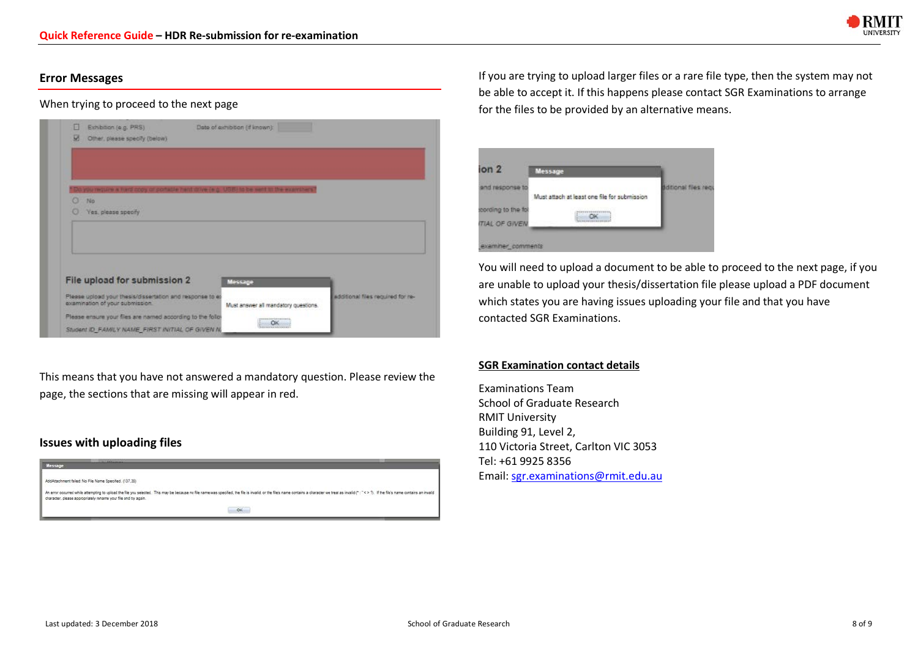

# **Error Messages**

# When trying to proceed to the next page

| ø<br>Other, please specify (below) |                                                            |                                                                                           |                                   |
|------------------------------------|------------------------------------------------------------|-------------------------------------------------------------------------------------------|-----------------------------------|
|                                    |                                                            |                                                                                           |                                   |
|                                    |                                                            |                                                                                           |                                   |
|                                    |                                                            | you require a hard copy of portatile herd, drive (e.g., USB) to be sent to the examiners' |                                   |
| o<br>No                            |                                                            |                                                                                           |                                   |
| o<br>Yes, please specify           |                                                            |                                                                                           |                                   |
|                                    |                                                            |                                                                                           |                                   |
|                                    |                                                            |                                                                                           |                                   |
|                                    |                                                            |                                                                                           |                                   |
|                                    |                                                            |                                                                                           |                                   |
|                                    |                                                            |                                                                                           |                                   |
|                                    |                                                            |                                                                                           |                                   |
|                                    | File upload for submission 2                               | Message                                                                                   |                                   |
|                                    | Please upload your thesis/dissertation and response to ex- |                                                                                           | additional files required for re- |
|                                    |                                                            | Must answer all mandatory questions.                                                      |                                   |
| examination of your submission.    | Please ensure your files are named according to the follo- | 0707001011<br>OK                                                                          |                                   |

This means that you have not answered a mandatory question. Please review the page, the sections that are missing will appear in red.

# **Issues with uploading files**



If you are trying to upload larger files or a rare file type, then the system may not be able to accept it. If this happens please contact SGR Examinations to arrange for the files to be provided by an alternative means.

| ion <sub>2</sub>     | <b>Message</b>                               |                     |
|----------------------|----------------------------------------------|---------------------|
|                      |                                              | ditional files regi |
|                      | Must attach at least one file for submission |                     |
| cording to the foll  |                                              |                     |
| <b>TIAL OF GIVEN</b> |                                              |                     |

You will need to upload a document to be able to proceed to the next page, if you are unable to upload your thesis/dissertation file please upload a PDF document which states you are having issues uploading your file and that you have contacted SGR Examinations.

# **SGR Examination contact details**

Examinations Team School of Graduate Research RMIT University Building 91, Level 2, 110 Victoria Street, Carlton VIC 3053 Tel: +61 9925 8356 Email: sgr.examinations@rmit.edu.au